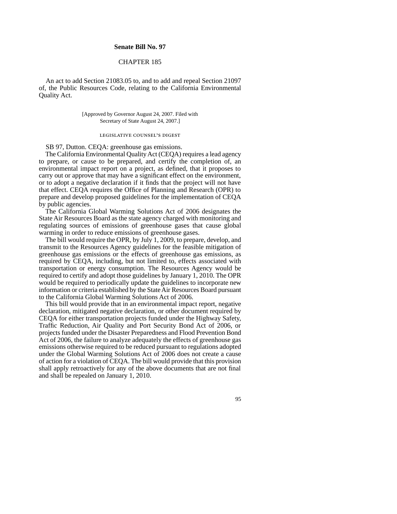## **Senate Bill No. 97**

## CHAPTER 185

An act to add Section [21083.05](https://21083.05) to, and to add and repeal Section 21097 of, the Public Resources Code, relating to the California Environmental Quality Act.

## [Approved by Governor August 24, 2007. Filed with Secretary of State August 24, 2007.]

## legislative counsel's digest

SB 97, Dutton. CEQA: greenhouse gas emissions.

The California Environmental Quality Act (CEQA) requires a lead agency to prepare, or cause to be prepared, and certify the completion of, an environmental impact report on a project, as defned, that it proposes to carry out or approve that may have a signifcant effect on the environment, or to adopt a negative declaration if it fnds that the project will not have that effect. CEQA requires the Office of Planning and Research (OPR) to prepare and develop proposed guidelines for the implementation of CEQA by public agencies.

The California Global Warming Solutions Act of 2006 designates the State Air Resources Board as the state agency charged with monitoring and regulating sources of emissions of greenhouse gases that cause global warming in order to reduce emissions of greenhouse gases.

The bill would require the OPR, by July 1, 2009, to prepare, develop, and transmit to the Resources Agency guidelines for the feasible mitigation of greenhouse gas emissions or the effects of greenhouse gas emissions, as required by CEQA, including, but not limited to, effects associated with transportation or energy consumption. The Resources Agency would be required to certify and adopt those guidelines by January 1, 2010. The OPR would be required to periodically update the guidelines to incorporate new information or criteria established by the State Air Resources Board pursuant to the California Global Warming Solutions Act of 2006.

This bill would provide that in an environmental impact report, negative declaration, mitigated negative declaration, or other document required by CEQA for either transportation projects funded under the Highway Safety, Traffic Reduction, Air Quality and Port Security Bond Act of 2006, or projects funded under the Disaster Preparedness and Flood Prevention Bond Act of 2006, the failure to analyze adequately the effects of greenhouse gas emissions otherwise required to be reduced pursuant to regulations adopted under the Global Warming Solutions Act of 2006 does not create a cause of action for a violation of CEQA. The bill would provide that this provision shall apply retroactively for any of the above documents that are not fnal and shall be repealed on January 1, 2010.

95